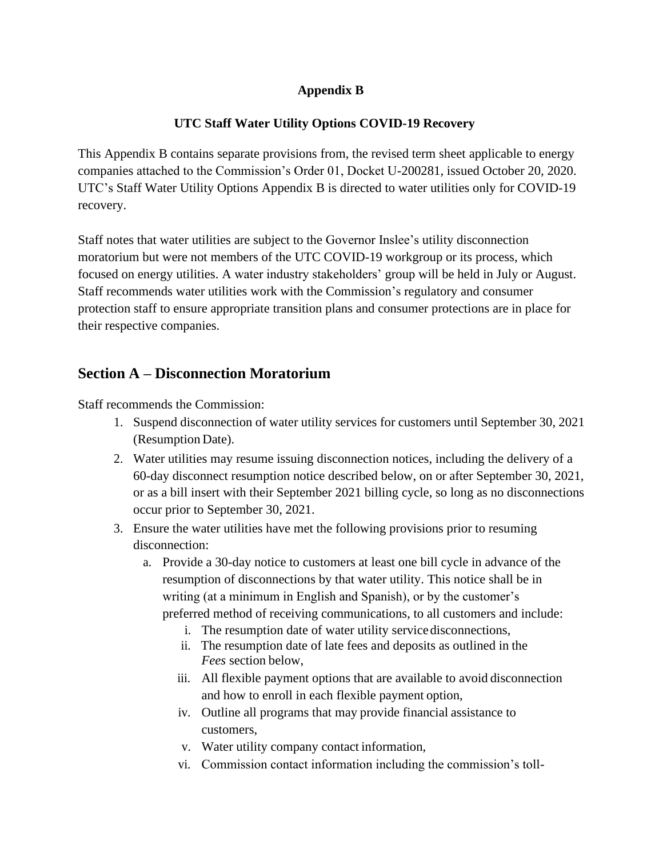### **Appendix B**

### **UTC Staff Water Utility Options COVID-19 Recovery**

This Appendix B contains separate provisions from, the revised term sheet applicable to energy companies attached to the Commission's Order 01, Docket U-200281, issued October 20, 2020. UTC's Staff Water Utility Options Appendix B is directed to water utilities only for COVID-19 recovery.

Staff notes that water utilities are subject to the Governor Inslee's utility disconnection moratorium but were not members of the UTC COVID-19 workgroup or its process, which focused on energy utilities. A water industry stakeholders' group will be held in July or August. Staff recommends water utilities work with the Commission's regulatory and consumer protection staff to ensure appropriate transition plans and consumer protections are in place for their respective companies.

## **Section A – Disconnection Moratorium**

Staff recommends the Commission:

- 1. Suspend disconnection of water utility services for customers until September 30, 2021 (Resumption Date).
- 2. Water utilities may resume issuing disconnection notices, including the delivery of a 60-day disconnect resumption notice described below, on or after September 30, 2021, or as a bill insert with their September 2021 billing cycle, so long as no disconnections occur prior to September 30, 2021.
- 3. Ensure the water utilities have met the following provisions prior to resuming disconnection:
	- a. Provide a 30-day notice to customers at least one bill cycle in advance of the resumption of disconnections by that water utility. This notice shall be in writing (at a minimum in English and Spanish), or by the customer's preferred method of receiving communications, to all customers and include:
		- i. The resumption date of water utility servicedisconnections,
		- ii. The resumption date of late fees and deposits as outlined in the *Fees* section below,
		- iii. All flexible payment options that are available to avoid disconnection and how to enroll in each flexible payment option,
		- iv. Outline all programs that may provide financial assistance to customers,
		- v. Water utility company contact information,
		- vi. Commission contact information including the commission's toll-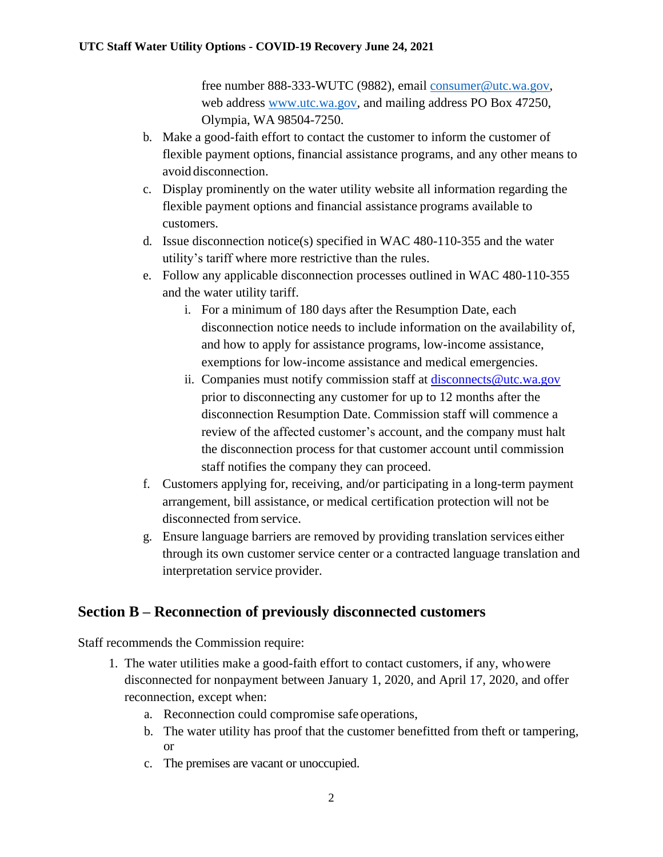free number 888-333-WUTC (9882), email [consumer@utc.wa.gov,](mailto:consumer@utc.wa.gov) web address [www.utc.wa.gov,](http://www.utc.wa.gov/) and mailing address PO Box 47250, Olympia, WA 98504-7250.

- b. Make a good-faith effort to contact the customer to inform the customer of flexible payment options, financial assistance programs, and any other means to avoid disconnection.
- c. Display prominently on the water utility website all information regarding the flexible payment options and financial assistance programs available to customers.
- d. Issue disconnection notice(s) specified in WAC 480-110-355 and the water utility's tariff where more restrictive than the rules.
- e. Follow any applicable disconnection processes outlined in WAC 480-110-355 and the water utility tariff.
	- i. For a minimum of 180 days after the Resumption Date, each disconnection notice needs to include information on the availability of, and how to apply for assistance programs, low-income assistance, exemptions for low-income assistance and medical emergencies.
	- ii. Companies must notify commission staff at [disconnects@utc.wa.gov](mailto:disconnects@utc.wa.gov) prior to disconnecting any customer for up to 12 months after the disconnection Resumption Date. Commission staff will commence a review of the affected customer's account, and the company must halt the disconnection process for that customer account until commission staff notifies the company they can proceed.
- f. Customers applying for, receiving, and/or participating in a long-term payment arrangement, bill assistance, or medical certification protection will not be disconnected from service.
- g. Ensure language barriers are removed by providing translation services either through its own customer service center or a contracted language translation and interpretation service provider.

### **Section B – Reconnection of previously disconnected customers**

Staff recommends the Commission require:

- 1. The water utilities make a good-faith effort to contact customers, if any, whowere disconnected for nonpayment between January 1, 2020, and April 17, 2020, and offer reconnection, except when:
	- a. Reconnection could compromise safe operations,
	- b. The water utility has proof that the customer benefitted from theft or tampering, or
	- c. The premises are vacant or unoccupied.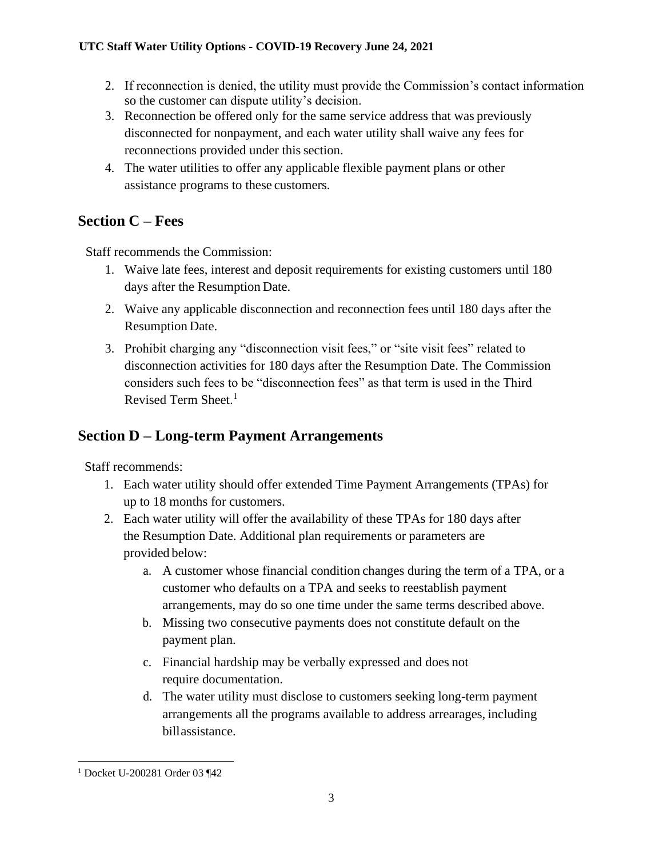- 2. If reconnection is denied, the utility must provide the Commission's contact information so the customer can dispute utility's decision.
- 3. Reconnection be offered only for the same service address that was previously disconnected for nonpayment, and each water utility shall waive any fees for reconnections provided under this section.
- 4. The water utilities to offer any applicable flexible payment plans or other assistance programs to these customers.

## **Section C – Fees**

Staff recommends the Commission:

- 1. Waive late fees, interest and deposit requirements for existing customers until 180 days after the Resumption Date.
- 2. Waive any applicable disconnection and reconnection fees until 180 days after the Resumption Date.
- 3. Prohibit charging any "disconnection visit fees," or "site visit fees" related to disconnection activities for 180 days after the Resumption Date. The Commission considers such fees to be "disconnection fees" as that term is used in the Third Revised Term Sheet. 1

# **Section D – Long-term Payment Arrangements**

Staff recommends:

- 1. Each water utility should offer extended Time Payment Arrangements (TPAs) for up to 18 months for customers.
- 2. Each water utility will offer the availability of these TPAs for 180 days after the Resumption Date. Additional plan requirements or parameters are provided below:
	- a. A customer whose financial condition changes during the term of a TPA, or a customer who defaults on a TPA and seeks to reestablish payment arrangements, may do so one time under the same terms described above.
	- b. Missing two consecutive payments does not constitute default on the payment plan.
	- c. Financial hardship may be verbally expressed and does not require documentation.
	- d. The water utility must disclose to customers seeking long-term payment arrangements all the programs available to address arrearages, including billassistance.

<sup>1</sup> Docket U-200281 Order 03 ¶42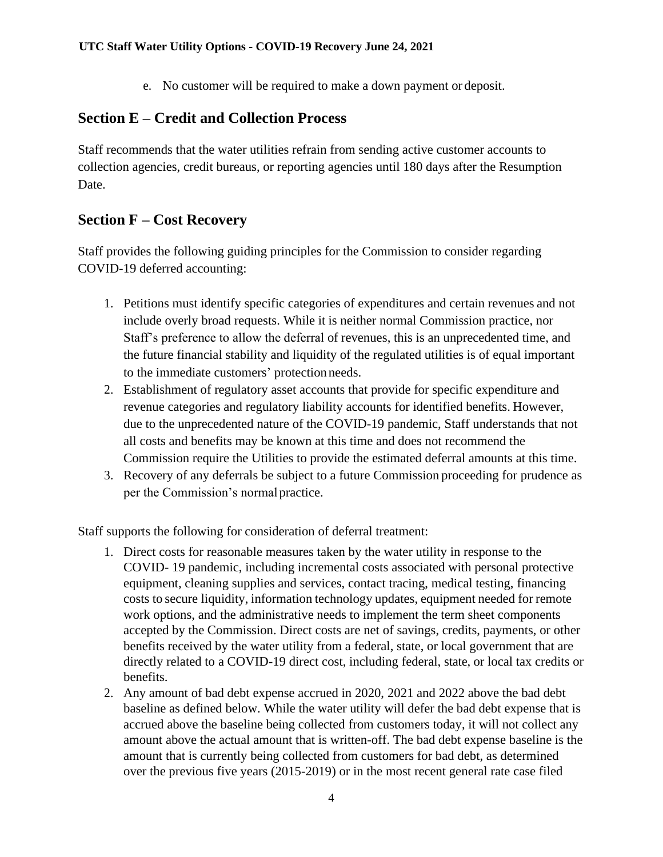e. No customer will be required to make a down payment or deposit.

# **Section E – Credit and Collection Process**

Staff recommends that the water utilities refrain from sending active customer accounts to collection agencies, credit bureaus, or reporting agencies until 180 days after the Resumption Date.

# **Section F – Cost Recovery**

Staff provides the following guiding principles for the Commission to consider regarding COVID-19 deferred accounting:

- 1. Petitions must identify specific categories of expenditures and certain revenues and not include overly broad requests. While it is neither normal Commission practice, nor Staff's preference to allow the deferral of revenues, this is an unprecedented time, and the future financial stability and liquidity of the regulated utilities is of equal important to the immediate customers' protectionneeds.
- 2. Establishment of regulatory asset accounts that provide for specific expenditure and revenue categories and regulatory liability accounts for identified benefits. However, due to the unprecedented nature of the COVID-19 pandemic, Staff understands that not all costs and benefits may be known at this time and does not recommend the Commission require the Utilities to provide the estimated deferral amounts at this time.
- 3. Recovery of any deferrals be subject to a future Commission proceeding for prudence as per the Commission's normal practice.

Staff supports the following for consideration of deferral treatment:

- 1. Direct costs for reasonable measures taken by the water utility in response to the COVID- 19 pandemic, including incremental costs associated with personal protective equipment, cleaning supplies and services, contact tracing, medical testing, financing costs to secure liquidity, information technology updates, equipment needed for remote work options, and the administrative needs to implement the term sheet components accepted by the Commission. Direct costs are net of savings, credits, payments, or other benefits received by the water utility from a federal, state, or local government that are directly related to a COVID-19 direct cost, including federal, state, or local tax credits or benefits.
- 2. Any amount of bad debt expense accrued in 2020, 2021 and 2022 above the bad debt baseline as defined below. While the water utility will defer the bad debt expense that is accrued above the baseline being collected from customers today, it will not collect any amount above the actual amount that is written-off. The bad debt expense baseline is the amount that is currently being collected from customers for bad debt, as determined over the previous five years (2015-2019) or in the most recent general rate case filed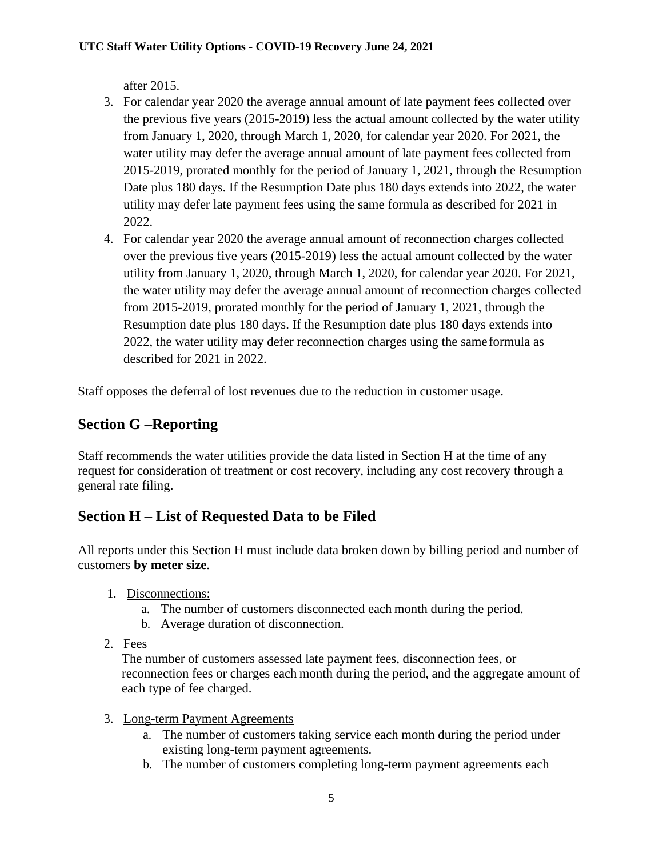after 2015.

- 3. For calendar year 2020 the average annual amount of late payment fees collected over the previous five years (2015-2019) less the actual amount collected by the water utility from January 1, 2020, through March 1, 2020, for calendar year 2020. For 2021, the water utility may defer the average annual amount of late payment fees collected from 2015-2019, prorated monthly for the period of January 1, 2021, through the Resumption Date plus 180 days. If the Resumption Date plus 180 days extends into 2022, the water utility may defer late payment fees using the same formula as described for 2021 in 2022.
- 4. For calendar year 2020 the average annual amount of reconnection charges collected over the previous five years (2015-2019) less the actual amount collected by the water utility from January 1, 2020, through March 1, 2020, for calendar year 2020. For 2021, the water utility may defer the average annual amount of reconnection charges collected from 2015-2019, prorated monthly for the period of January 1, 2021, through the Resumption date plus 180 days. If the Resumption date plus 180 days extends into 2022, the water utility may defer reconnection charges using the sameformula as described for 2021 in 2022.

Staff opposes the deferral of lost revenues due to the reduction in customer usage.

# **Section G –Reporting**

Staff recommends the water utilities provide the data listed in Section H at the time of any request for consideration of treatment or cost recovery, including any cost recovery through a general rate filing.

## **Section H – List of Requested Data to be Filed**

All reports under this Section H must include data broken down by billing period and number of customers **by meter size**.

- 1. Disconnections:
	- a. The number of customers disconnected each month during the period.
	- b. Average duration of disconnection.
- 2. Fees

The number of customers assessed late payment fees, disconnection fees, or reconnection fees or charges each month during the period, and the aggregate amount of each type of fee charged.

- 3. Long-term Payment Agreements
	- a. The number of customers taking service each month during the period under existing long-term payment agreements.
	- b. The number of customers completing long-term payment agreements each